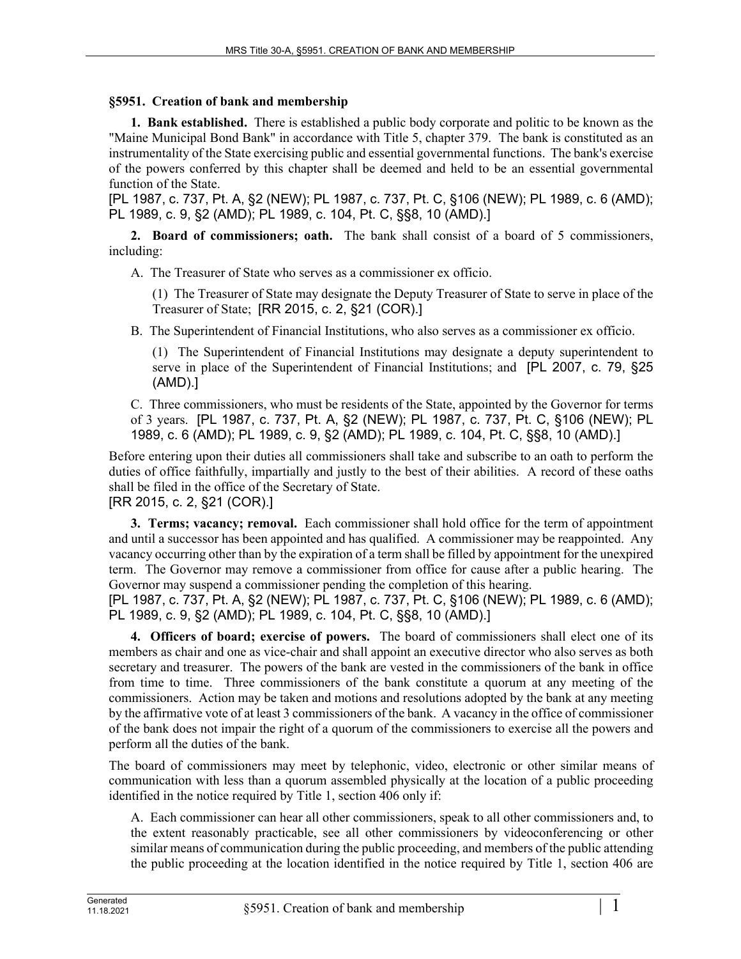## **§5951. Creation of bank and membership**

**1. Bank established.** There is established a public body corporate and politic to be known as the "Maine Municipal Bond Bank" in accordance with Title 5, chapter 379. The bank is constituted as an instrumentality of the State exercising public and essential governmental functions. The bank's exercise of the powers conferred by this chapter shall be deemed and held to be an essential governmental function of the State.

[PL 1987, c. 737, Pt. A, §2 (NEW); PL 1987, c. 737, Pt. C, §106 (NEW); PL 1989, c. 6 (AMD); PL 1989, c. 9, §2 (AMD); PL 1989, c. 104, Pt. C, §§8, 10 (AMD).]

**2. Board of commissioners; oath.** The bank shall consist of a board of 5 commissioners, including:

A. The Treasurer of State who serves as a commissioner ex officio.

(1) The Treasurer of State may designate the Deputy Treasurer of State to serve in place of the Treasurer of State; [RR 2015, c. 2, §21 (COR).]

B. The Superintendent of Financial Institutions, who also serves as a commissioner ex officio.

(1) The Superintendent of Financial Institutions may designate a deputy superintendent to serve in place of the Superintendent of Financial Institutions; and [PL 2007, c. 79, §25 (AMD).]

C. Three commissioners, who must be residents of the State, appointed by the Governor for terms of 3 years. [PL 1987, c. 737, Pt. A, §2 (NEW); PL 1987, c. 737, Pt. C, §106 (NEW); PL 1989, c. 6 (AMD); PL 1989, c. 9, §2 (AMD); PL 1989, c. 104, Pt. C, §§8, 10 (AMD).]

Before entering upon their duties all commissioners shall take and subscribe to an oath to perform the duties of office faithfully, impartially and justly to the best of their abilities. A record of these oaths shall be filed in the office of the Secretary of State.

[RR 2015, c. 2, §21 (COR).]

**3. Terms; vacancy; removal.** Each commissioner shall hold office for the term of appointment and until a successor has been appointed and has qualified. A commissioner may be reappointed. Any vacancy occurring other than by the expiration of a term shall be filled by appointment for the unexpired term. The Governor may remove a commissioner from office for cause after a public hearing. The Governor may suspend a commissioner pending the completion of this hearing.

[PL 1987, c. 737, Pt. A, §2 (NEW); PL 1987, c. 737, Pt. C, §106 (NEW); PL 1989, c. 6 (AMD); PL 1989, c. 9, §2 (AMD); PL 1989, c. 104, Pt. C, §§8, 10 (AMD).]

**4. Officers of board; exercise of powers.** The board of commissioners shall elect one of its members as chair and one as vice-chair and shall appoint an executive director who also serves as both secretary and treasurer. The powers of the bank are vested in the commissioners of the bank in office from time to time. Three commissioners of the bank constitute a quorum at any meeting of the commissioners. Action may be taken and motions and resolutions adopted by the bank at any meeting by the affirmative vote of at least 3 commissioners of the bank. A vacancy in the office of commissioner of the bank does not impair the right of a quorum of the commissioners to exercise all the powers and perform all the duties of the bank.

The board of commissioners may meet by telephonic, video, electronic or other similar means of communication with less than a quorum assembled physically at the location of a public proceeding identified in the notice required by Title 1, section 406 only if:

A. Each commissioner can hear all other commissioners, speak to all other commissioners and, to the extent reasonably practicable, see all other commissioners by videoconferencing or other similar means of communication during the public proceeding, and members of the public attending the public proceeding at the location identified in the notice required by Title 1, section 406 are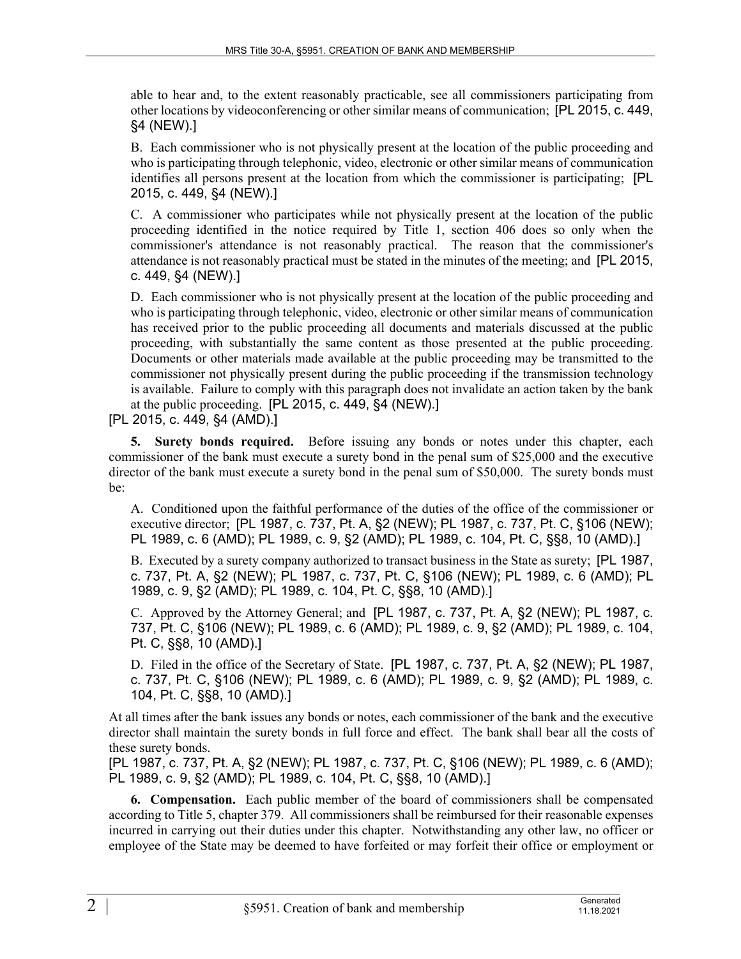able to hear and, to the extent reasonably practicable, see all commissioners participating from other locations by videoconferencing or other similar means of communication; [PL 2015, c. 449, §4 (NEW).]

B. Each commissioner who is not physically present at the location of the public proceeding and who is participating through telephonic, video, electronic or other similar means of communication identifies all persons present at the location from which the commissioner is participating; [PL 2015, c. 449, §4 (NEW).]

C. A commissioner who participates while not physically present at the location of the public proceeding identified in the notice required by Title 1, section 406 does so only when the commissioner's attendance is not reasonably practical. The reason that the commissioner's attendance is not reasonably practical must be stated in the minutes of the meeting; and [PL 2015, c. 449, §4 (NEW).]

D. Each commissioner who is not physically present at the location of the public proceeding and who is participating through telephonic, video, electronic or other similar means of communication has received prior to the public proceeding all documents and materials discussed at the public proceeding, with substantially the same content as those presented at the public proceeding. Documents or other materials made available at the public proceeding may be transmitted to the commissioner not physically present during the public proceeding if the transmission technology is available. Failure to comply with this paragraph does not invalidate an action taken by the bank at the public proceeding. [PL 2015, c. 449, §4 (NEW).]

[PL 2015, c. 449, §4 (AMD).]

**5. Surety bonds required.** Before issuing any bonds or notes under this chapter, each commissioner of the bank must execute a surety bond in the penal sum of \$25,000 and the executive director of the bank must execute a surety bond in the penal sum of \$50,000. The surety bonds must be:

A. Conditioned upon the faithful performance of the duties of the office of the commissioner or executive director; [PL 1987, c. 737, Pt. A, §2 (NEW); PL 1987, c. 737, Pt. C, §106 (NEW); PL 1989, c. 6 (AMD); PL 1989, c. 9, §2 (AMD); PL 1989, c. 104, Pt. C, §§8, 10 (AMD).]

B. Executed by a surety company authorized to transact business in the State as surety; [PL 1987, c. 737, Pt. A, §2 (NEW); PL 1987, c. 737, Pt. C, §106 (NEW); PL 1989, c. 6 (AMD); PL 1989, c. 9, §2 (AMD); PL 1989, c. 104, Pt. C, §§8, 10 (AMD).]

C. Approved by the Attorney General; and [PL 1987, c. 737, Pt. A, §2 (NEW); PL 1987, c. 737, Pt. C, §106 (NEW); PL 1989, c. 6 (AMD); PL 1989, c. 9, §2 (AMD); PL 1989, c. 104, Pt. C, §§8, 10 (AMD).]

D. Filed in the office of the Secretary of State. [PL 1987, c. 737, Pt. A, §2 (NEW); PL 1987, c. 737, Pt. C, §106 (NEW); PL 1989, c. 6 (AMD); PL 1989, c. 9, §2 (AMD); PL 1989, c. 104, Pt. C, §§8, 10 (AMD).]

At all times after the bank issues any bonds or notes, each commissioner of the bank and the executive director shall maintain the surety bonds in full force and effect. The bank shall bear all the costs of these surety bonds.

[PL 1987, c. 737, Pt. A, §2 (NEW); PL 1987, c. 737, Pt. C, §106 (NEW); PL 1989, c. 6 (AMD); PL 1989, c. 9, §2 (AMD); PL 1989, c. 104, Pt. C, §§8, 10 (AMD).]

**6. Compensation.** Each public member of the board of commissioners shall be compensated according to Title 5, chapter 379. All commissioners shall be reimbursed for their reasonable expenses incurred in carrying out their duties under this chapter. Notwithstanding any other law, no officer or employee of the State may be deemed to have forfeited or may forfeit their office or employment or